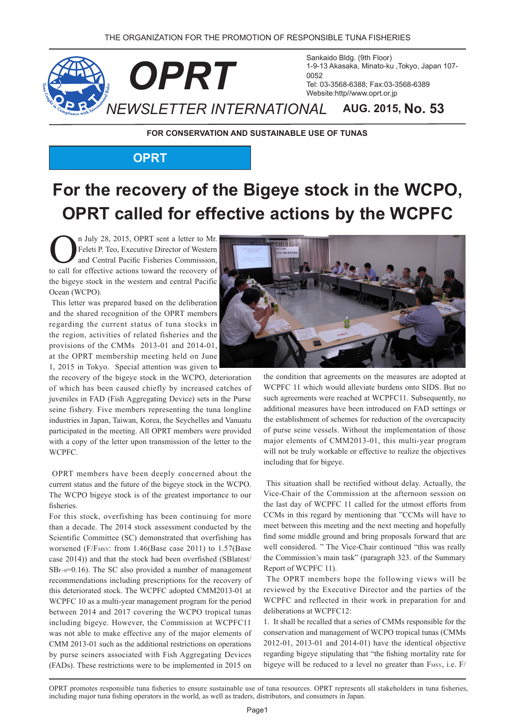

**FOR CONSERVATION AND SUSTAINABLE USE OF TUNAS** 

## **OPRT**

# For the recovery of the Bigeye stock in the WCPO, **OPRT called for effective actions by the WCPFC**

I July 28, 2015, OPRT sent a letter to Mr.<br>Feleti P. Teo, Executive Director of Western<br>and Central Pacific Fisheries Commission,<br>to call for effective actions toward the recovery of Feleti P. Teo, Executive Director of Western and Central Pacific Fisheries Commission, to call for effective actions toward the recovery of the bigeye stock in the western and central Pacific Ocean (WCPO).

This letter was prepared based on the deliberation and the shared recognition of the OPRT members regarding the current status of tuna stocks in the region, activities of related fisheries and the provisions of the CMMs  $2013-01$  and  $2014-01$ , at the OPRT membership meeting held on June 1, 2015 in Tokyo. Special attention was given to

the recovery of the bigeye stock in the WCPO, deterioration of which has been caused chiefly by increased catches of juveniles in FAD (Fish Aggregating Device) sets in the Purse seine fishery. Five members representing the tuna longline industries in Japan, Taiwan, Korea, the Seychelles and Vanuatu participated in the meeting. All OPRT members were provided with a copy of the letter upon transmission of the letter to the .WCPFC

OPRT members have been deeply concerned about the current status and the future of the bigeye stock in the WCPO. The WCPO bigeye stock is of the greatest importance to our fisheries.

For this stock, overfishing has been continuing for more than a decade. The 2014 stock assessment conducted by the Scientific Committee (SC) demonstrated that overfishing has worsened ( $F/F$ <sub>MSY</sub>: from 1.46 (Base case 2011) to 1.57 (Base case 2014)) and that the stock had been overfished (SBlatest/  $SB_{F=0}=0.16$ ). The SC also provided a number of management recommendations including prescriptions for the recovery of this deteriorated stock. The WCPFC adopted CMM2013-01 at WCPFC 10 as a multi-year management program for the period between 2014 and 2017 covering the WCPO tropical tunas including bigeye. However, the Commission at WCPFC11 was not able to make effective any of the major elements of CMM 2013-01 such as the additional restrictions on operations by purse seiners associated with Fish Aggregating Devices  $(FADs)$ . These restrictions were to be implemented in 2015 on



the condition that agreements on the measures are adopted at WCPFC 11 which would alleviate burdens onto SIDS. But no such agreements were reached at WCPFC11. Subsequently, no additional measures have been introduced on FAD settings or the establishment of schemes for reduction of the overcapacity of purse seine vessels. Without the implementation of those major elements of CMM 2013-01, this multi-year program will not be truly workable or effective to realize the objectives including that for bigeye.

This situation shall be rectified without delay. Actually, the Vice-Chair of the Commission at the afternoon session on the last day of WCPFC 11 called for the utmost efforts from CCMs in this regard by mentioning that "CCMs will have to meet between this meeting and the next meeting and hopefully find some middle ground and bring proposals forward that are well considered. " The Vice-Chair continued "this was really the Commission's main task" (paragraph 323. of the Summary Report of WCPFC 11).

The OPRT members hope the following views will be reviewed by the Executive Director and the parties of the WCPFC and reflected in their work in preparation for and deliberations at WCPFC12:

1. It shall be recalled that a series of CMMs responsible for the conservation and management of WCPO tropical tunas (CMMs)  $2012-01$ ,  $2013-01$  and  $2014-01$ ) have the identical objective regarding bigeye stipulating that "the fishing mortality rate for bigeye will be reduced to a level no greater than  $F_{MSY}$ , i.e.  $F/$ 

OPRT promotes responsible tuna fisheries to ensure sustainable use of tuna resources. OPRT represents all stakeholders in tuna fisheries, including major tuna fishing operators in the world, as well as traders, distributors, and consumers in Japan.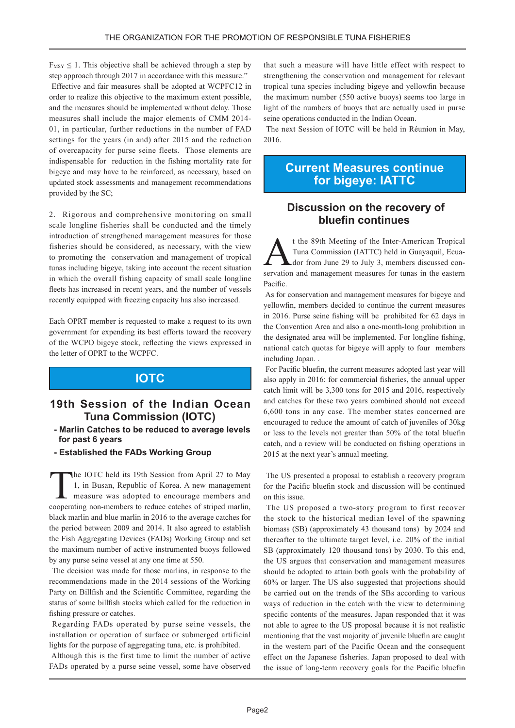$F_{MSY} \leq 1$ . This objective shall be achieved through a step by step approach through 2017 in accordance with this measure." Effective and fair measures shall be adopted at WCPFC12 in order to realize this objective to the maximum extent possible, and the measures should be implemented without delay. Those measures shall include the major elements of CMM 2014- $01$ , in particular, further reductions in the number of  $FAD$ settings for the years (in and) after 2015 and the reduction of overcapacity for purse seine fleets. Those elements are

indispensable for reduction in the fishing mortality rate for bigeye and may have to be reinforced, as necessary, based on updated stock assessments and management recommendations provided by the SC;

2. Rigorous and comprehensive monitoring on small scale longline fisheries shall be conducted and the timely introduction of strengthened management measures for those fisheries should be considered, as necessary, with the view to promoting the conservation and management of tropical tunas including bigeye, taking into account the recent situation in which the overall fishing capacity of small scale longline fleets has increased in recent years, and the number of vessels recently equipped with freezing capacity has also increased.

Each OPRT member is requested to make a request to its own government for expending its best efforts toward the recovery of the WCPO bigeye stock, reflecting the views expressed in the letter of OPRT to the WCPFC.

### **IOTC**

#### **19th Session of the Indian Ocean Tuna Commission (IOTC)**

- **Marlin Catches to be reduced to average levels** for past 6 years
- **Established the FADs Working Group**

The IOTC held its 19th Session from April 27 to May<br>1, in Busan, Republic of Korea. A new management<br>measure was adopted to encourage members and<br>cooperating non-members to reduce catches of string marlin 1, in Busan, Republic of Korea. A new management measure was adopted to encourage members and cooperating non-members to reduce catches of striped marlin, black marlin and blue marlin in 2016 to the average catches for the period between  $2009$  and  $2014$ . It also agreed to establish the Fish Aggregating Devices (FADs) Working Group and set the maximum number of active instrumented buoys followed by any purse seine vessel at any one time at 550.

The decision was made for those marlins, in response to the recommendations made in the 2014 sessions of the Working Party on Billfish and the Scientific Committee, regarding the status of some billfish stocks which called for the reduction in fishing pressure or catches.

Regarding FADs operated by purse seine vessels, the installation or operation of surface or submerged artificial lights for the purpose of aggregating tuna, etc. is prohibited.

Although this is the first time to limit the number of active FADs operated by a purse seine vessel, some have observed

that such a measure will have little effect with respect to strengthening the conservation and management for relevant tropical tuna species including bigeye and yellowfin because the maximum number (550 active buoys) seems too large in light of the numbers of buoys that are actually used in purse seine operations conducted in the Indian Ocean.

The next Session of IOTC will be held in Réunion in May, 2016.

#### **Current Measures continue** for bigeye: **IATTC**

#### **Discussion on the recovery of continues bluefin**

t the 89th Meeting of the Inter-American Tropical servation and management measures for tunas in the eastern dor from June 29 to July 3, members discussed con-Tuna Commission (IATTC) held in Guayaquil, Ecua-.Pacific

As for conservation and management measures for bigeye and yellowfin, members decided to continue the current measures in 2016. Purse seine fishing will be prohibited for 62 days in the Convention Area and also a one-month-long prohibition in the designated area will be implemented. For longline fishing, national catch quotas for bigeye will apply to four members including Japan.

For Pacific bluefin, the current measures adopted last year will also apply in 2016: for commercial fisheries, the annual upper catch limit will be  $3,300$  tons for 2015 and 2016, respectively and catches for these two years combined should not exceed  $6,600$  tons in any case. The member states concerned are encouraged to reduce the amount of catch of juveniles of  $30\text{kg}$ or less to the levels not greater than 50% of the total bluefin catch, and a review will be conducted on fishing operations in 2015 at the next year's annual meeting.

The US presented a proposal to establish a recovery program for the Pacific bluefin stock and discussion will be continued on this issue.

The US proposed a two-story program to first recover the stock to the historical median level of the spawning biomass (SB) (approximately 43 thousand tons) by 2024 and thereafter to the ultimate target level, i.e. 20% of the initial SB (approximately 120 thousand tons) by 2030. To this end, the US argues that conservation and management measures should be adopted to attain both goals with the probability of  $60\%$  or larger. The US also suggested that projections should be carried out on the trends of the SBs according to various ways of reduction in the catch with the view to determining specific contents of the measures. Japan responded that it was not able to agree to the US proposal because it is not realistic mentioning that the vast majority of juvenile bluefin are caught in the western part of the Pacific Ocean and the consequent effect on the Japanese fisheries. Japan proposed to deal with the issue of long-term recovery goals for the Pacific bluefin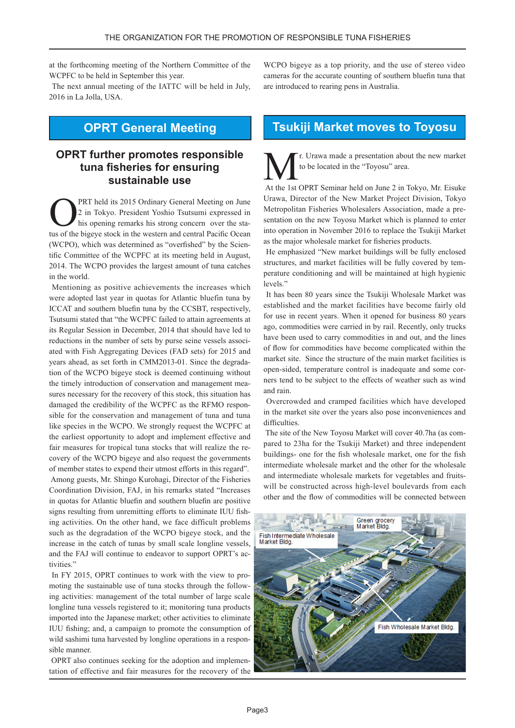at the forthcoming meeting of the Northern Committee of the WCPFC to be held in September this year.

The next annual meeting of the IATTC will be held in July, 2016 in La Jolla, USA.

## **OPRT General Meeting**

#### **OPRT** further promotes responsible **tuna fisheries for ensuring** sustainable use

PRT held its 2015 Ordinary General Meeting on June 2 in Tokyo. President Yoshio Tsutsumi expressed in tus of the bigeye stock in the western and central Pacific Ocean his opening remarks his strong concern over the statific Committee of the WCPFC at its meeting held in August, (WCPO), which was determined as "overfished" by the Scien-2014. The WCPO provides the largest amount of tuna catches in the world.

Mentioning as positive achievements the increases which were adopted last year in quotas for Atlantic bluefin tuna by ICCAT and southern bluefin tuna by the CCSBT, respectively, Tsutsumi stated that "the WCPFC failed to attain agreements at its Regular Session in December, 2014 that should have led to ated with Fish Aggregating Devices (FAD sets) for 2015 and reductions in the number of sets by purse seine vessels assocition of the WCPO bigeye stock is deemed continuing without years ahead, as set forth in CMM2013-01. Since the degradasures necessary for the recovery of this stock, this situation has the timely introduction of conservation and management measible for the conservation and management of tuna and tuna damaged the credibility of the WCPFC as the RFMO responlike species in the WCPO. We strongly request the WCPFC at the earliest opportunity to adopt and implement effective and covery of the WCPO bigeye and also request the governments fair measures for tropical tuna stocks that will realize the reof member states to expend their utmost efforts in this regard". Among guests, Mr. Shingo Kurohagi, Director of the Fisheries Coordination Division, FAJ, in his remarks stated "Increases" in quotas for Atlantic bluefin and southern bluefin are positive ing activities. On the other hand, we face difficult problems signs resulting from unremitting efforts to eliminate IUU fishsuch as the degradation of the WCPO bigeye stock, and the increase in the catch of tunas by small scale longline vessels, and the FAJ will continue to endeavor to support OPRT's activities."

ing activities: management of the total number of large scale moting the sustainable use of tuna stocks through the follow-In FY 2015, OPRT continues to work with the view to prolongline tuna vessels registered to it; monitoring tuna products imported into the Japanese market; other activities to eliminate IUU fishing; and, a campaign to promote the consumption of wild sashimi tuna harvested by longline operations in a responsible manner.

tation of effective and fair measures for the recovery of the OPRT also continues seeking for the adoption and implemen-

WCPO bigeye as a top priority, and the use of stereo video cameras for the accurate counting of southern bluefin tuna that are introduced to rearing pens in Australia.

## **Tsukiji Market moves to Toyosu**

r. Urawa made a presentation about the new market to be located in the "Toyosu" area.

At the 1st OPRT Seminar held on June 2 in Tokyo, Mr. Eisuke Urawa, Director of the New Market Project Division, Tokyo sentation on the new Toyosu Market which is planned to enter Metropolitan Fisheries Wholesalers Association, made a preinto operation in November 2016 to replace the Tsukiji Market as the major wholesale market for fisheries products.

He emphasized "New market buildings will be fully enclosed perature conditioning and will be maintained at high hygienic structures, and market facilities will be fully covered by temlevels<sup>"</sup>

It has been 80 years since the Tsukiji Wholesale Market was established and the market facilities have become fairly old for use in recent years. When it opened for business 80 years ago, commodities were carried in by rail. Recently, only trucks have been used to carry commodities in and out, and the lines of flow for commodities have become complicated within the market site. Since the structure of the main market facilities is ners tend to be subject to the effects of weather such as windopen-sided, temperature control is inadequate and some corand rain

Overcrowded and cramped facilities which have developed in the market site over the years also pose inconveniences and .difficulties

pared to 23 ha for the Tsukiji Market) and three independent The site of the New Toyosu Market will cover 40.7ha (as combuildings- one for the fish wholesale market, one for the fish intermediate wholesale market and the other for the wholesale will be constructed across high-level boulevards from each and intermediate wholesale markets for vegetables and fruitsother and the flow of commodities will be connected between